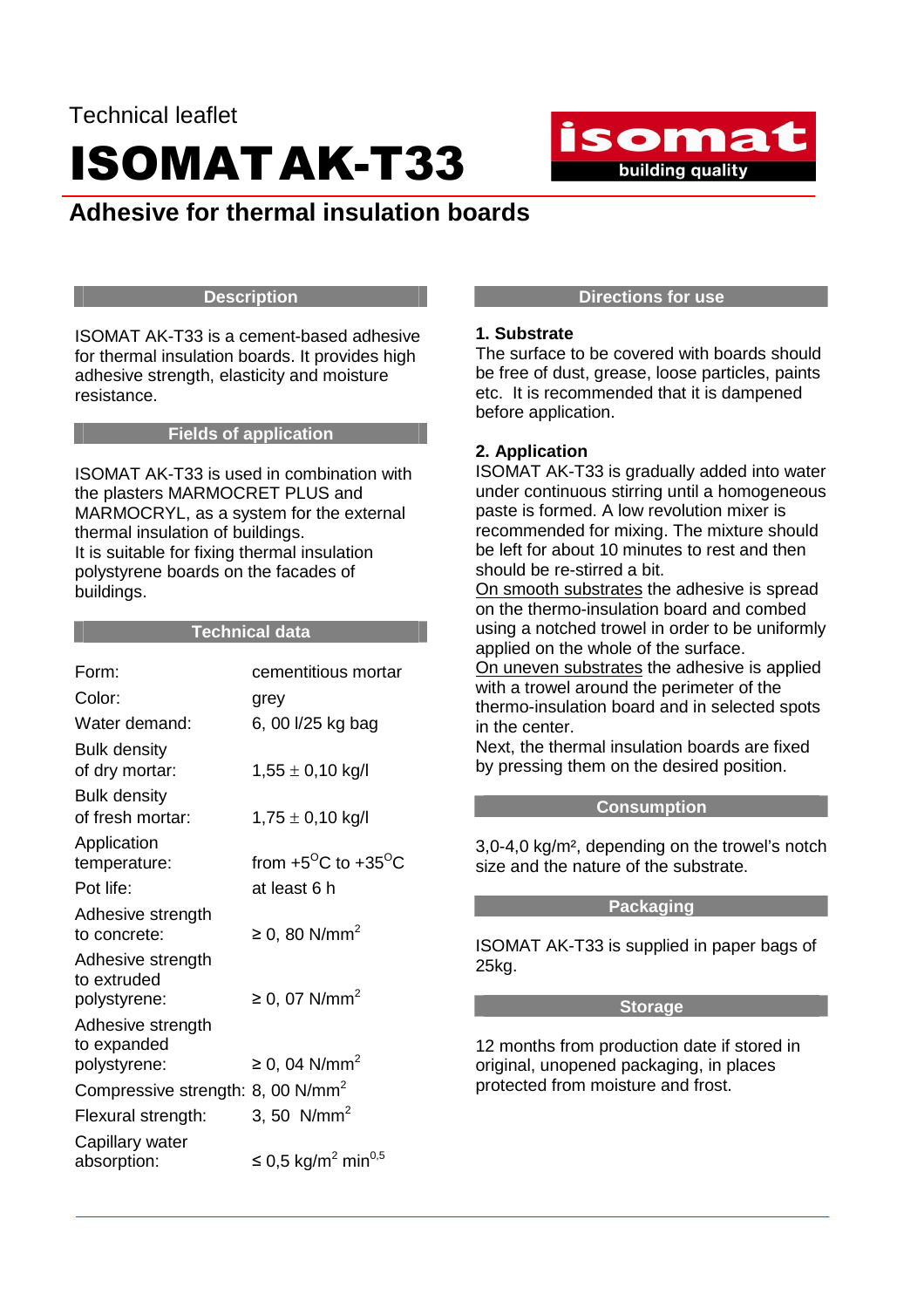## Technical leaflet ISOMATAK-T33

### **Adhesive for thermal insulation boards**

#### **Description**

ISOMAT AK-T33 is a cement-based adhesive for thermal insulation boards. It provides high adhesive strength, elasticity and moisture resistance.

#### **Fields of application**

ISOMAT AK-T33 is used in combination with the plasters MARMOCRET PLUS and MARMOCRYL, as a system for the external thermal insulation of buildings. It is suitable for fixing thermal insulation polystyrene boards on the facades of buildings.

#### **Technical data**

| Form:                                         | cementitious mortar                          |
|-----------------------------------------------|----------------------------------------------|
| Color:                                        | grey                                         |
| Water demand:                                 | 6, 00 l/25 kg bag                            |
| <b>Bulk density</b>                           |                                              |
| of dry mortar:                                | $1,55 \pm 0,10$ kg/l                         |
| <b>Bulk density</b>                           |                                              |
| of fresh mortar:                              | $1,75 \pm 0,10$ kg/l                         |
| Application                                   |                                              |
| temperature:                                  | from +5 <sup>o</sup> C to +35 <sup>o</sup> C |
| Pot life:                                     | at least 6 h                                 |
| Adhesive strength                             |                                              |
| to concrete:                                  | ≥ 0, 80 N/mm <sup>2</sup>                    |
| Adhesive strength                             |                                              |
| to extruded                                   |                                              |
| polystyrene:                                  | ≥ 0, 07 N/mm <sup>2</sup>                    |
| Adhesive strength                             |                                              |
| to expanded                                   |                                              |
| polystyrene:                                  | ≥ 0, 04 N/mm <sup>2</sup>                    |
| Compressive strength: 8, 00 N/mm <sup>2</sup> |                                              |
| Flexural strength:                            | 3, 50 $N/mm^2$                               |
| Capillary water                               |                                              |
| absorption:                                   | ≤ 0,5 kg/m <sup>2</sup> min <sup>0,5</sup>   |
|                                               |                                              |

#### **Directions for use**

isomat

**Example 15 building quality** 

#### **1. Substrate**

The surface to be covered with boards should be free of dust, grease, loose particles, paints etc. It is recommended that it is dampened before application.

#### **2. Application**

ISOMAT AK-T33 is gradually added into water under continuous stirring until a homogeneous paste is formed. A low revolution mixer is recommended for mixing. The mixture should be left for about 10 minutes to rest and then should be re-stirred a bit.

On smooth substrates the adhesive is spread on the thermo-insulation board and combed using a notched trowel in order to be uniformly applied on the whole of the surface.

On uneven substrates the adhesive is applied with a trowel around the perimeter of the thermo-insulation board and in selected spots in the center.

Next, the thermal insulation boards are fixed by pressing them on the desired position.

#### **Consumption**

3,0-4,0 kg/m², depending on the trowel's notch size and the nature of the substrate.

#### **Packaging**

ISOMAT AK-T33 is supplied in paper bags of 25kg.

#### **Storage**

12 months from production date if stored in original, unopened packaging, in places protected from moisture and frost.